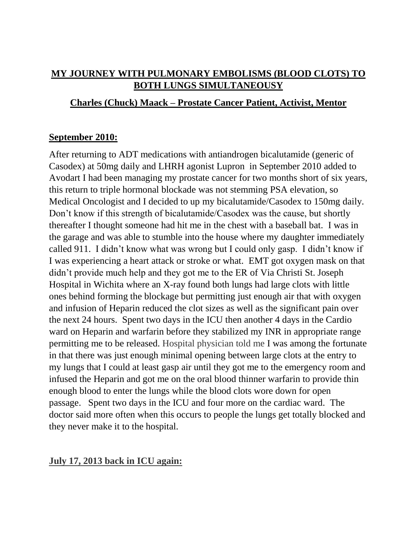# **MY JOURNEY WITH PULMONARY EMBOLISMS (BLOOD CLOTS) TO BOTH LUNGS SIMULTANEOUSY**

## **Charles (Chuck) Maack – Prostate Cancer Patient, Activist, Mentor**

### **September 2010:**

After returning to ADT medications with antiandrogen bicalutamide (generic of Casodex) at 50mg daily and LHRH agonist Lupron in September 2010 added to Avodart I had been managing my prostate cancer for two months short of six years, this return to triple hormonal blockade was not stemming PSA elevation, so Medical Oncologist and I decided to up my bicalutamide/Casodex to 150mg daily. Don't know if this strength of bicalutamide/Casodex was the cause, but shortly thereafter I thought someone had hit me in the chest with a baseball bat. I was in the garage and was able to stumble into the house where my daughter immediately called 911. I didn't know what was wrong but I could only gasp. I didn't know if I was experiencing a heart attack or stroke or what. EMT got oxygen mask on that didn't provide much help and they got me to the ER of Via Christi St. Joseph Hospital in Wichita where an X-ray found both lungs had large clots with little ones behind forming the blockage but permitting just enough air that with oxygen and infusion of Heparin reduced the clot sizes as well as the significant pain over the next 24 hours. Spent two days in the ICU then another 4 days in the Cardio ward on Heparin and warfarin before they stabilized my INR in appropriate range permitting me to be released. Hospital physician told me I was among the fortunate in that there was just enough minimal opening between large clots at the entry to my lungs that I could at least gasp air until they got me to the emergency room and infused the Heparin and got me on the oral blood thinner warfarin to provide thin enough blood to enter the lungs while the blood clots wore down for open passage. Spent two days in the ICU and four more on the cardiac ward. The doctor said more often when this occurs to people the lungs get totally blocked and they never make it to the hospital.

### **July 17, 2013 back in ICU again:**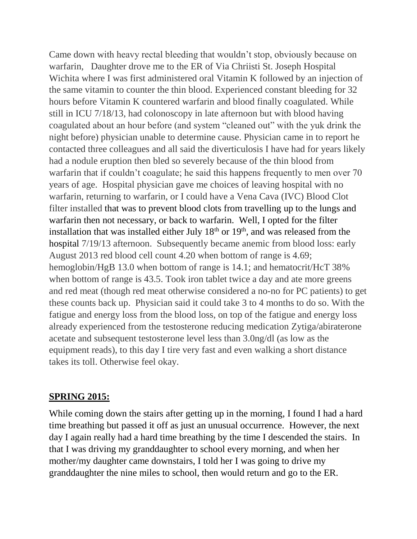Came down with heavy rectal bleeding that wouldn't stop, obviously because on warfarin, Daughter drove me to the ER of Via Chriisti St. Joseph Hospital Wichita where I was first administered oral Vitamin K followed by an injection of the same vitamin to counter the thin blood. Experienced constant bleeding for 32 hours before Vitamin K countered warfarin and blood finally coagulated. While still in ICU 7/18/13, had colonoscopy in late afternoon but with blood having coagulated about an hour before (and system "cleaned out" with the yuk drink the night before) physician unable to determine cause. Physician came in to report he contacted three colleagues and all said the diverticulosis I have had for years likely had a nodule eruption then bled so severely because of the thin blood from warfarin that if couldn't coagulate; he said this happens frequently to men over 70 years of age. Hospital physician gave me choices of leaving hospital with no warfarin, returning to warfarin, or I could have a Vena Cava (IVC) Blood Clot filter installed that was to prevent blood clots from travelling up to the lungs and warfarin then not necessary, or back to warfarin. Well, I opted for the filter installation that was installed either July  $18<sup>th</sup>$  or  $19<sup>th</sup>$ , and was released from the hospital 7/19/13 afternoon. Subsequently became anemic from blood loss: early August 2013 red blood cell count 4.20 when bottom of range is 4.69; hemoglobin/HgB 13.0 when bottom of range is 14.1; and hematocrit/HcT 38% when bottom of range is 43.5. Took iron tablet twice a day and ate more greens and red meat (though red meat otherwise considered a no-no for PC patients) to get these counts back up. Physician said it could take 3 to 4 months to do so. With the fatigue and energy loss from the blood loss, on top of the fatigue and energy loss already experienced from the testosterone reducing medication Zytiga/abiraterone acetate and subsequent testosterone level less than 3.0ng/dl (as low as the equipment reads), to this day I tire very fast and even walking a short distance takes its toll. Otherwise feel okay.

#### **SPRING 2015:**

While coming down the stairs after getting up in the morning, I found I had a hard time breathing but passed it off as just an unusual occurrence. However, the next day I again really had a hard time breathing by the time I descended the stairs. In that I was driving my granddaughter to school every morning, and when her mother/my daughter came downstairs, I told her I was going to drive my granddaughter the nine miles to school, then would return and go to the ER.